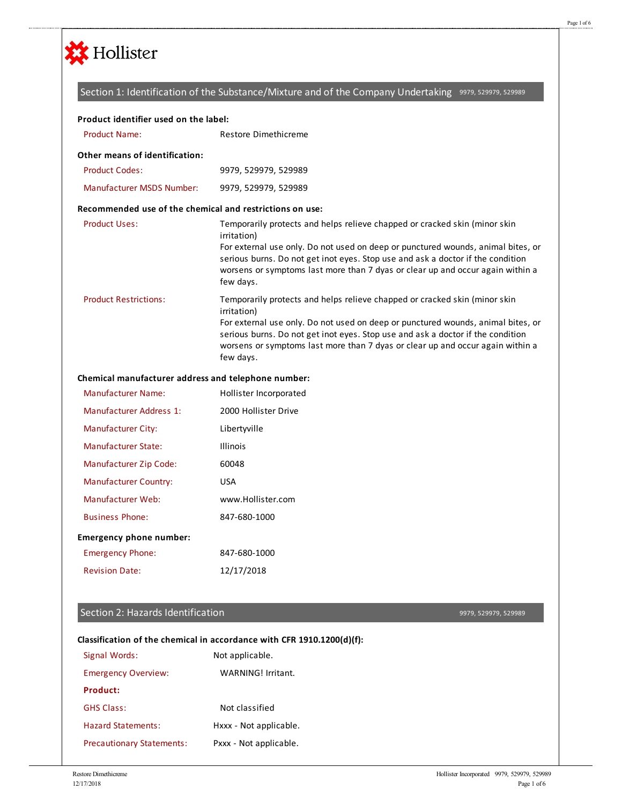

## Section 1: Identification of the Substance/Mixture and of the Company Undertaking 9979, 529979, 529989

# Product Name: Restore Dimethicreme Product Codes: 9979, 529979, 529989 Manufacturer MSDS Number: 9979, 529979, 529989 Product Uses: Temporarily protects and helps relieve chapped or cracked skin (minor skin irritation) For external use only. Do not used on deep or punctured wounds, animal bites, or serious burns. Do not get inot eyes. Stop use and ask a doctor if the condition worsens or symptoms last more than 7 dyas or clear up and occur again within a few days. Product Restrictions: Temporarily protects and helps relieve chapped or cracked skin (minor skin irritation) For external use only. Do not used on deep or punctured wounds, animal bites, or serious burns. Do not get inot eyes. Stop use and ask a doctor if the condition worsens or symptoms last more than 7 dyas or clear up and occur again within a few days. Manufacturer Name: Hollister Incorporated Manufacturer Address 1: 2000 Hollister Drive **Product identifier used on the label: Other means of identification: Recommended use of the chemical and restrictions on use: Chemical manufacturer address and telephone number:**

| Manufacturer Address 1:       | 2000 Hollister Drive |
|-------------------------------|----------------------|
| <b>Manufacturer City:</b>     | Libertyville         |
| Manufacturer State:           | <b>Illinois</b>      |
| <b>Manufacturer Zip Code:</b> | 60048                |
| <b>Manufacturer Country:</b>  | USA                  |
| Manufacturer Web:             | www.Hollister.com    |
| <b>Business Phone:</b>        | 847-680-1000         |
| Emergency phone number:       |                      |
| <b>Emergency Phone:</b>       | 847-680-1000         |
| <b>Revision Date:</b>         | 12/17/2018           |

### Section 2: Hazards Identification

9979, 529979, 529989

#### Signal Words: Not applicable **Classification of the chemical in accordance with CFR 1910.1200(d)(f):**

| <b>JIRIIAI VVULUS.</b>           | <b>NUL applicable.</b> |
|----------------------------------|------------------------|
| <b>Emergency Overview:</b>       | WARNING! Irritant.     |
| <b>Product:</b>                  |                        |
| <b>GHS Class:</b>                | Not classified         |
| <b>Hazard Statements:</b>        | Hxxx - Not applicable. |
| <b>Precautionary Statements:</b> | Pxxx - Not applicable. |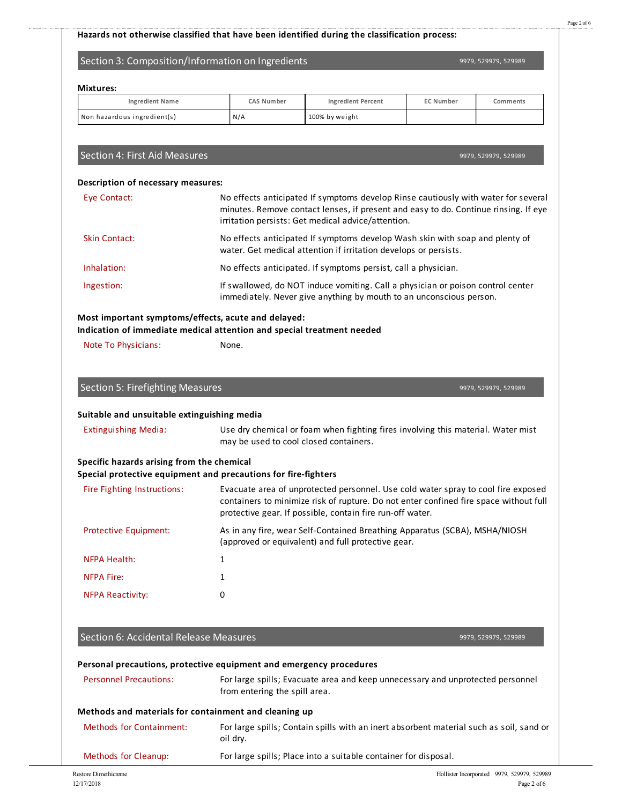## **Hazards not otherwise classified that have been identified during the classification process:**

# Section 3: Composition/Information on Ingredients

9979, 529979, 529989

| <b>Ingredient Name</b>                                                                                                        | <b>CAS Number</b>                      | <b>Ingredient Percent</b>                                                                                                                                                                                                               | <b>EC Number</b> | Comments             |
|-------------------------------------------------------------------------------------------------------------------------------|----------------------------------------|-----------------------------------------------------------------------------------------------------------------------------------------------------------------------------------------------------------------------------------------|------------------|----------------------|
| Non hazardous ingredient(s)                                                                                                   | N/A                                    | 100% by weight                                                                                                                                                                                                                          |                  |                      |
|                                                                                                                               |                                        |                                                                                                                                                                                                                                         |                  |                      |
| Section 4: First Aid Measures                                                                                                 |                                        |                                                                                                                                                                                                                                         |                  | 9979, 529979, 529989 |
| Description of necessary measures:                                                                                            |                                        |                                                                                                                                                                                                                                         |                  |                      |
| Eye Contact:                                                                                                                  |                                        | No effects anticipated If symptoms develop Rinse cautiously with water for several<br>minutes. Remove contact lenses, if present and easy to do. Continue rinsing. If eye<br>irritation persists: Get medical advice/attention.         |                  |                      |
| <b>Skin Contact:</b>                                                                                                          |                                        | No effects anticipated If symptoms develop Wash skin with soap and plenty of<br>water. Get medical attention if irritation develops or persists.                                                                                        |                  |                      |
| Inhalation:                                                                                                                   |                                        | No effects anticipated. If symptoms persist, call a physician.                                                                                                                                                                          |                  |                      |
| Ingestion:                                                                                                                    |                                        | If swallowed, do NOT induce vomiting. Call a physician or poison control center<br>immediately. Never give anything by mouth to an unconscious person.                                                                                  |                  |                      |
| Most important symptoms/effects, acute and delayed:<br>Indication of immediate medical attention and special treatment needed |                                        |                                                                                                                                                                                                                                         |                  |                      |
| Note To Physicians:                                                                                                           | None.                                  |                                                                                                                                                                                                                                         |                  |                      |
|                                                                                                                               |                                        |                                                                                                                                                                                                                                         |                  |                      |
| <b>Section 5: Firefighting Measures</b>                                                                                       |                                        |                                                                                                                                                                                                                                         |                  | 9979, 529979, 529989 |
| Suitable and unsuitable extinguishing media                                                                                   |                                        |                                                                                                                                                                                                                                         |                  |                      |
| <b>Extinguishing Media:</b>                                                                                                   | may be used to cool closed containers. | Use dry chemical or foam when fighting fires involving this material. Water mist                                                                                                                                                        |                  |                      |
| Specific hazards arising from the chemical<br>Special protective equipment and precautions for fire-fighters                  |                                        |                                                                                                                                                                                                                                         |                  |                      |
| Fire Fighting Instructions:                                                                                                   |                                        | Evacuate area of unprotected personnel. Use cold water spray to cool fire exposed<br>containers to minimize risk of rupture. Do not enter confined fire space without full<br>protective gear. If possible, contain fire run-off water. |                  |                      |
| <b>Protective Equipment:</b>                                                                                                  |                                        | As in any fire, wear Self-Contained Breathing Apparatus (SCBA), MSHA/NIOSH<br>(approved or equivalent) and full protective gear.                                                                                                        |                  |                      |
| <b>NFPA Health:</b>                                                                                                           | 1                                      |                                                                                                                                                                                                                                         |                  |                      |
| <b>NFPA Fire:</b>                                                                                                             | 1                                      |                                                                                                                                                                                                                                         |                  |                      |
| <b>NFPA Reactivity:</b>                                                                                                       | 0                                      |                                                                                                                                                                                                                                         |                  |                      |
|                                                                                                                               |                                        |                                                                                                                                                                                                                                         |                  |                      |
| Section 6: Accidental Release Measures                                                                                        |                                        |                                                                                                                                                                                                                                         |                  | 9979, 529979, 529989 |
| Personal precautions, protective equipment and emergency procedures                                                           |                                        |                                                                                                                                                                                                                                         |                  |                      |
| <b>Personnel Precautions:</b>                                                                                                 | from entering the spill area.          | For large spills; Evacuate area and keep unnecessary and unprotected personnel                                                                                                                                                          |                  |                      |
| Methods and materials for containment and cleaning up                                                                         |                                        |                                                                                                                                                                                                                                         |                  |                      |
| <b>Methods for Containment:</b>                                                                                               | oil dry.                               | For large spills; Contain spills with an inert absorbent material such as soil, sand or                                                                                                                                                 |                  |                      |

Methods for Cleanup: For large spills; Place into a suitable container for disposal.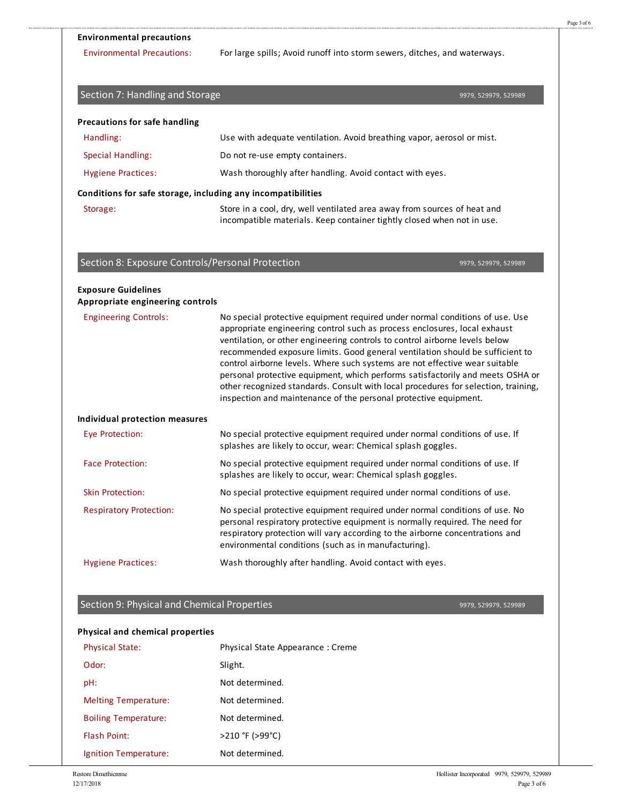#### **Environmental precautions**

Environmental Precautions: For large spills; Avoid runoff into storm sewers, ditches, and waterways.

| Section 7: Handling and Storage                  |                                                                                                                                                                                                                                                                                                                                                                                                                                                                                                                                                                                                                                                      | 9979, 529979, 529989 |
|--------------------------------------------------|------------------------------------------------------------------------------------------------------------------------------------------------------------------------------------------------------------------------------------------------------------------------------------------------------------------------------------------------------------------------------------------------------------------------------------------------------------------------------------------------------------------------------------------------------------------------------------------------------------------------------------------------------|----------------------|
| <b>Precautions for safe handling</b>             |                                                                                                                                                                                                                                                                                                                                                                                                                                                                                                                                                                                                                                                      |                      |
| Handling:                                        | Use with adequate ventilation. Avoid breathing vapor, aerosol or mist.                                                                                                                                                                                                                                                                                                                                                                                                                                                                                                                                                                               |                      |
| <b>Special Handling:</b>                         | Do not re-use empty containers.                                                                                                                                                                                                                                                                                                                                                                                                                                                                                                                                                                                                                      |                      |
| <b>Hygiene Practices:</b>                        | Wash thoroughly after handling. Avoid contact with eyes.                                                                                                                                                                                                                                                                                                                                                                                                                                                                                                                                                                                             |                      |
|                                                  | Conditions for safe storage, including any incompatibilities                                                                                                                                                                                                                                                                                                                                                                                                                                                                                                                                                                                         |                      |
| Storage:                                         | Store in a cool, dry, well ventilated area away from sources of heat and<br>incompatible materials. Keep container tightly closed when not in use.                                                                                                                                                                                                                                                                                                                                                                                                                                                                                                   |                      |
| Section 8: Exposure Controls/Personal Protection |                                                                                                                                                                                                                                                                                                                                                                                                                                                                                                                                                                                                                                                      | 9979, 529979, 529989 |
| <b>Exposure Guidelines</b>                       |                                                                                                                                                                                                                                                                                                                                                                                                                                                                                                                                                                                                                                                      |                      |
| Appropriate engineering controls                 |                                                                                                                                                                                                                                                                                                                                                                                                                                                                                                                                                                                                                                                      |                      |
| <b>Engineering Controls:</b>                     | No special protective equipment required under normal conditions of use. Use<br>appropriate engineering control such as process enclosures, local exhaust<br>ventilation, or other engineering controls to control airborne levels below<br>recommended exposure limits. Good general ventilation should be sufficient to<br>control airborne levels. Where such systems are not effective wear suitable<br>personal protective equipment, which performs satisfactorily and meets OSHA or<br>other recognized standards. Consult with local procedures for selection, training,<br>inspection and maintenance of the personal protective equipment. |                      |
| Individual protection measures                   |                                                                                                                                                                                                                                                                                                                                                                                                                                                                                                                                                                                                                                                      |                      |
| <b>Eye Protection:</b>                           | No special protective equipment required under normal conditions of use. If<br>splashes are likely to occur, wear: Chemical splash goggles.                                                                                                                                                                                                                                                                                                                                                                                                                                                                                                          |                      |
| <b>Face Protection:</b>                          | No special protective equipment required under normal conditions of use. If<br>splashes are likely to occur, wear: Chemical splash goggles.                                                                                                                                                                                                                                                                                                                                                                                                                                                                                                          |                      |
| <b>Skin Protection:</b>                          | No special protective equipment required under normal conditions of use.                                                                                                                                                                                                                                                                                                                                                                                                                                                                                                                                                                             |                      |
| <b>Respiratory Protection:</b>                   | No special protective equipment required under normal conditions of use. No<br>personal respiratory protective equipment is normally required. The need for<br>respiratory protection will vary according to the airborne concentrations and<br>environmental conditions (such as in manufacturing).                                                                                                                                                                                                                                                                                                                                                 |                      |
| <b>Hygiene Practices:</b>                        | Wash thoroughly after handling. Avoid contact with eyes.                                                                                                                                                                                                                                                                                                                                                                                                                                                                                                                                                                                             |                      |
|                                                  |                                                                                                                                                                                                                                                                                                                                                                                                                                                                                                                                                                                                                                                      |                      |
| Section 9: Physical and Chemical Properties      |                                                                                                                                                                                                                                                                                                                                                                                                                                                                                                                                                                                                                                                      | 9979, 529979, 529989 |
| <b>Physical and chemical properties</b>          |                                                                                                                                                                                                                                                                                                                                                                                                                                                                                                                                                                                                                                                      |                      |
| <b>Physical State:</b>                           | Physical State Appearance: Creme                                                                                                                                                                                                                                                                                                                                                                                                                                                                                                                                                                                                                     |                      |
| Odor:                                            | Slight.                                                                                                                                                                                                                                                                                                                                                                                                                                                                                                                                                                                                                                              |                      |
| pH:                                              | Not determined.                                                                                                                                                                                                                                                                                                                                                                                                                                                                                                                                                                                                                                      |                      |

Melting Temperature: Not determined. Boiling Temperature: Not determined. Flash Point: >210 °F (>99°C) Ignition Temperature: Not determined.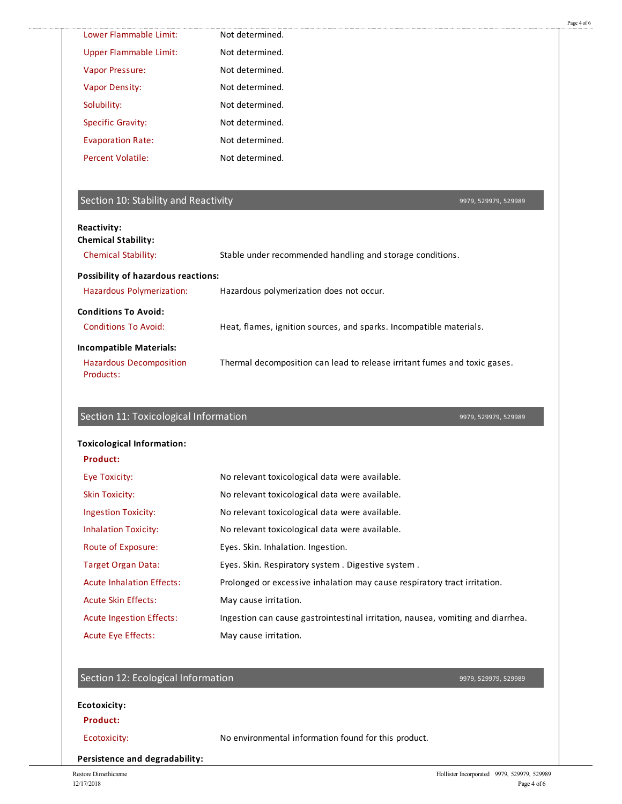| Lower Flammable Limit:                                                        | Not determined.                                                                 |
|-------------------------------------------------------------------------------|---------------------------------------------------------------------------------|
| <b>Upper Flammable Limit:</b>                                                 | Not determined.                                                                 |
| Vapor Pressure:                                                               | Not determined.                                                                 |
| <b>Vapor Density:</b>                                                         | Not determined.                                                                 |
| Solubility:                                                                   | Not determined.                                                                 |
| <b>Specific Gravity:</b>                                                      | Not determined.                                                                 |
| <b>Evaporation Rate:</b>                                                      | Not determined.                                                                 |
| <b>Percent Volatile:</b>                                                      | Not determined.                                                                 |
| Section 10: Stability and Reactivity                                          | 9979, 529979, 529989                                                            |
| Reactivity:<br><b>Chemical Stability:</b>                                     |                                                                                 |
| <b>Chemical Stability:</b>                                                    | Stable under recommended handling and storage conditions.                       |
| <b>Possibility of hazardous reactions:</b>                                    |                                                                                 |
| Hazardous Polymerization:                                                     | Hazardous polymerization does not occur.                                        |
|                                                                               |                                                                                 |
| <b>Conditions To Avoid:</b>                                                   |                                                                                 |
| <b>Conditions To Avoid:</b>                                                   | Heat, flames, ignition sources, and sparks. Incompatible materials.             |
|                                                                               |                                                                                 |
| <b>Incompatible Materials:</b><br><b>Hazardous Decomposition</b><br>Products: | Thermal decomposition can lead to release irritant fumes and toxic gases.       |
| Section 11: Toxicological Information                                         | 9979, 529979, 529989                                                            |
| <b>Toxicological Information:</b>                                             |                                                                                 |
| <b>Product:</b>                                                               |                                                                                 |
| <b>Eye Toxicity:</b>                                                          | No relevant toxicological data were available.                                  |
| <b>Skin Toxicity:</b>                                                         | No relevant toxicological data were available.                                  |
| <b>Ingestion Toxicity:</b>                                                    | No relevant toxicological data were available.                                  |
| <b>Inhalation Toxicity:</b>                                                   | No relevant toxicological data were available.                                  |
| Route of Exposure:                                                            | Eyes. Skin. Inhalation. Ingestion.                                              |
| <b>Target Organ Data:</b>                                                     | Eyes. Skin. Respiratory system. Digestive system.                               |
| <b>Acute Inhalation Effects:</b>                                              | Prolonged or excessive inhalation may cause respiratory tract irritation.       |
| <b>Acute Skin Effects:</b>                                                    | May cause irritation.                                                           |
| <b>Acute Ingestion Effects:</b>                                               | Ingestion can cause gastrointestinal irritation, nausea, vomiting and diarrhea. |

#### **Product:**

.......................

Ecotoxicity: No environmental information found for this product.

**Persistence and degradability:**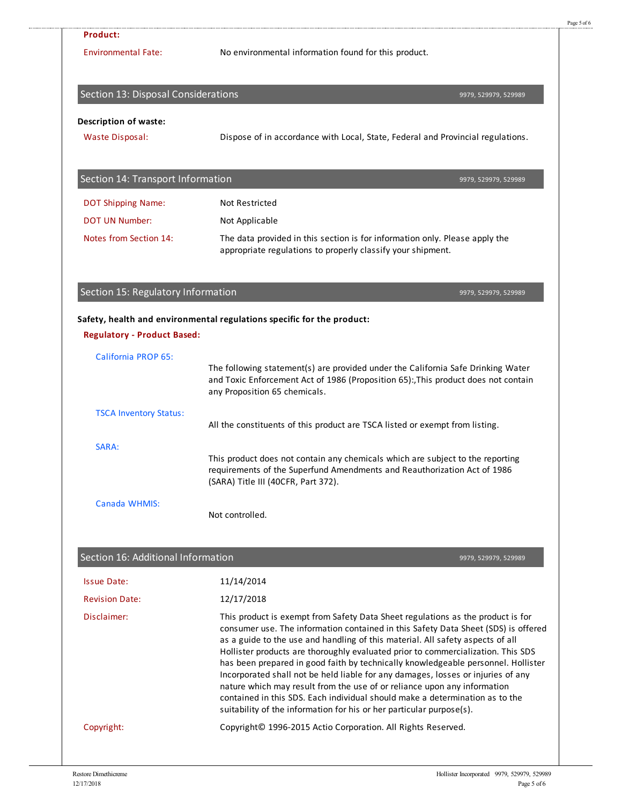| <b>Product:</b>                                                  |                                                                                                                                                                                                                                                                                                                                                                                                                                                                                                                                                                                                                                                                                                                                                                        |
|------------------------------------------------------------------|------------------------------------------------------------------------------------------------------------------------------------------------------------------------------------------------------------------------------------------------------------------------------------------------------------------------------------------------------------------------------------------------------------------------------------------------------------------------------------------------------------------------------------------------------------------------------------------------------------------------------------------------------------------------------------------------------------------------------------------------------------------------|
| <b>Environmental Fate:</b>                                       | No environmental information found for this product.                                                                                                                                                                                                                                                                                                                                                                                                                                                                                                                                                                                                                                                                                                                   |
| Section 13: Disposal Considerations                              | 9979, 529979, 529989                                                                                                                                                                                                                                                                                                                                                                                                                                                                                                                                                                                                                                                                                                                                                   |
| <b>Description of waste:</b>                                     |                                                                                                                                                                                                                                                                                                                                                                                                                                                                                                                                                                                                                                                                                                                                                                        |
| Waste Disposal:                                                  | Dispose of in accordance with Local, State, Federal and Provincial regulations.                                                                                                                                                                                                                                                                                                                                                                                                                                                                                                                                                                                                                                                                                        |
| Section 14: Transport Information                                | 9979, 529979, 529989                                                                                                                                                                                                                                                                                                                                                                                                                                                                                                                                                                                                                                                                                                                                                   |
| <b>DOT Shipping Name:</b>                                        | <b>Not Restricted</b>                                                                                                                                                                                                                                                                                                                                                                                                                                                                                                                                                                                                                                                                                                                                                  |
| <b>DOT UN Number:</b>                                            | Not Applicable                                                                                                                                                                                                                                                                                                                                                                                                                                                                                                                                                                                                                                                                                                                                                         |
| Notes from Section 14:                                           | The data provided in this section is for information only. Please apply the<br>appropriate regulations to properly classify your shipment.                                                                                                                                                                                                                                                                                                                                                                                                                                                                                                                                                                                                                             |
| Section 15: Regulatory Information                               | 9979, 529979, 529989                                                                                                                                                                                                                                                                                                                                                                                                                                                                                                                                                                                                                                                                                                                                                   |
| <b>Regulatory - Product Based:</b><br><b>California PROP 65:</b> | Safety, health and environmental regulations specific for the product:                                                                                                                                                                                                                                                                                                                                                                                                                                                                                                                                                                                                                                                                                                 |
|                                                                  | The following statement(s) are provided under the California Safe Drinking Water<br>and Toxic Enforcement Act of 1986 (Proposition 65):, This product does not contain<br>any Proposition 65 chemicals.                                                                                                                                                                                                                                                                                                                                                                                                                                                                                                                                                                |
| <b>TSCA Inventory Status:</b>                                    | All the constituents of this product are TSCA listed or exempt from listing.                                                                                                                                                                                                                                                                                                                                                                                                                                                                                                                                                                                                                                                                                           |
|                                                                  |                                                                                                                                                                                                                                                                                                                                                                                                                                                                                                                                                                                                                                                                                                                                                                        |
| SARA:                                                            | This product does not contain any chemicals which are subject to the reporting<br>requirements of the Superfund Amendments and Reauthorization Act of 1986<br>(SARA) Title III (40CFR, Part 372).                                                                                                                                                                                                                                                                                                                                                                                                                                                                                                                                                                      |
| Canada WHMIS:                                                    | Not controlled.                                                                                                                                                                                                                                                                                                                                                                                                                                                                                                                                                                                                                                                                                                                                                        |
|                                                                  |                                                                                                                                                                                                                                                                                                                                                                                                                                                                                                                                                                                                                                                                                                                                                                        |
| Section 16: Additional Information                               | 9979, 529979, 529989                                                                                                                                                                                                                                                                                                                                                                                                                                                                                                                                                                                                                                                                                                                                                   |
| <b>Issue Date:</b><br><b>Revision Date:</b>                      | 11/14/2014                                                                                                                                                                                                                                                                                                                                                                                                                                                                                                                                                                                                                                                                                                                                                             |
| Disclaimer:                                                      | 12/17/2018<br>This product is exempt from Safety Data Sheet regulations as the product is for<br>consumer use. The information contained in this Safety Data Sheet (SDS) is offered<br>as a guide to the use and handling of this material. All safety aspects of all<br>Hollister products are thoroughly evaluated prior to commercialization. This SDS<br>has been prepared in good faith by technically knowledgeable personnel. Hollister<br>Incorporated shall not be held liable for any damages, losses or injuries of any<br>nature which may result from the use of or reliance upon any information<br>contained in this SDS. Each individual should make a determination as to the<br>suitability of the information for his or her particular purpose(s). |